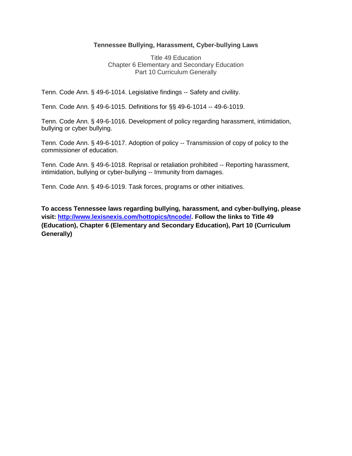### **Tennessee Bullying, Harassment, Cyber-bullying Laws**

Title 49 Education Chapter 6 Elementary and Secondary Education Part 10 Curriculum Generally

Tenn. Code Ann. § 49-6-1014. Legislative findings -- Safety and civility.

Tenn. Code Ann. § 49-6-1015. Definitions for §§ 49-6-1014 -- 49-6-1019.

Tenn. Code Ann. § 49-6-1016. Development of policy regarding harassment, intimidation, bullying or cyber bullying.

Tenn. Code Ann. § 49-6-1017. Adoption of policy -- Transmission of copy of policy to the commissioner of education.

Tenn. Code Ann. § 49-6-1018. Reprisal or retaliation prohibited -- Reporting harassment, intimidation, bullying or cyber-bullying -- Immunity from damages.

Tenn. Code Ann. § 49-6-1019. Task forces, programs or other initiatives.

**To access Tennessee laws regarding bullying, harassment, and cyber-bullying, please visit: [http://www.lexisnexis.com/hottopics/tncode/.](http://www.lexisnexis.com/hottopics/tncode/) Follow the links to Title 49 (Education), Chapter 6 (Elementary and Secondary Education), Part 10 (Curriculum Generally)**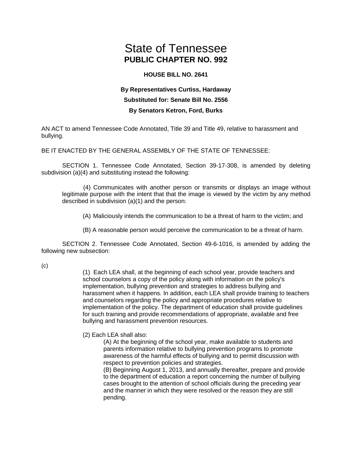# State of Tennessee **PUBLIC CHAPTER NO. 992**

#### **HOUSE BILL NO. 2641**

## **By Representatives Curtiss, Hardaway Substituted for: Senate Bill No. 2556 By Senators Ketron, Ford, Burks**

AN ACT to amend Tennessee Code Annotated, Title 39 and Title 49, relative to harassment and bullying.

BE IT ENACTED BY THE GENERAL ASSEMBLY OF THE STATE OF TENNESSEE:

SECTION 1. Tennessee Code Annotated, Section 39-17-308, is amended by deleting subdivision (a)(4) and substituting instead the following:

(4) Communicates with another person or transmits or displays an image without legitimate purpose with the intent that that the image is viewed by the victim by any method described in subdivision (a)(1) and the person:

(A) Maliciously intends the communication to be a threat of harm to the victim; and

(B) A reasonable person would perceive the communication to be a threat of harm.

SECTION 2. Tennessee Code Annotated, Section 49-6-1016, is amended by adding the following new subsection:

(c)

(1) Each LEA shall, at the beginning of each school year, provide teachers and school counselors a copy of the policy along with information on the policy's implementation, bullying prevention and strategies to address bullying and harassment when it happens. In addition, each LEA shall provide training to teachers and counselors regarding the policy and appropriate procedures relative to implementation of the policy. The department of education shall provide guidelines for such training and provide recommendations of appropriate, available and free bullying and harassment prevention resources.

#### (2) Each LEA shall also:

(A) At the beginning of the school year, make available to students and parents information relative to bullying prevention programs to promote awareness of the harmful effects of bullying and to permit discussion with respect to prevention policies and strategies.

(B) Beginning August 1, 2013, and annually thereafter, prepare and provide to the department of education a report concerning the number of bullying cases brought to the attention of school officials during the preceding year and the manner in which they were resolved or the reason they are still pending.